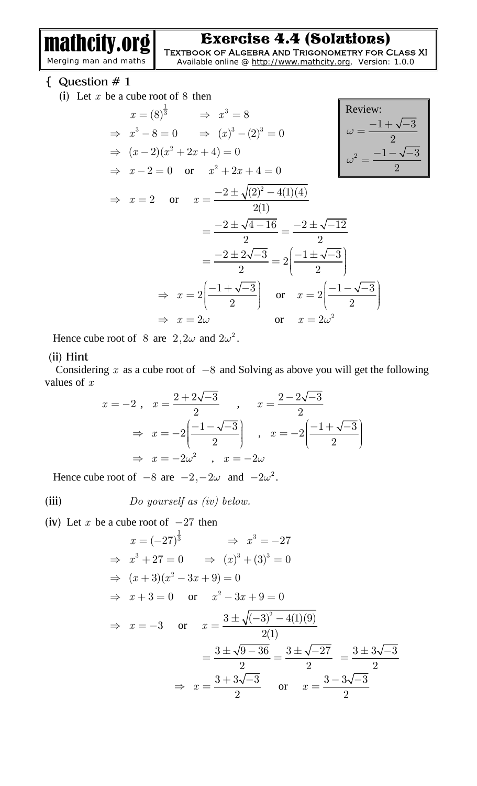mathcity.org Merging man and maths

Exercise 4.4 (Solutions)

**Textbook of Algebra and Trigonometry for Class XI**  Available online @<http://www.mathcity.org>, Version: 1.0.0

 $\overline{-3}$ 

{ Question # 1

(i) Let *x* be a cube root of 8 then

$$
x = (8)^{\frac{1}{3}} \Rightarrow x^{3} = 8
$$
  
\n
$$
\Rightarrow (x-2)(x^{2} + 2x + 4) = 0
$$
  
\n
$$
\Rightarrow (x-2)(x^{2} + 2x + 4) = 0
$$
  
\n
$$
\Rightarrow x - 2 = 0 \text{ or } x^{2} + 2x + 4 = 0
$$
  
\n
$$
\Rightarrow x = 2 \text{ or } x = \frac{-2 \pm \sqrt{(2)^{2} - 4(1)(4)}}{2(1)}
$$
  
\n
$$
= \frac{-2 \pm \sqrt{4 - 16}}{2} = \frac{-2 \pm \sqrt{-12}}{2}
$$
  
\n
$$
= \frac{-2 \pm 2\sqrt{-3}}{2} = 2\left(\frac{-1 \pm \sqrt{-3}}{2}\right)
$$
  
\n
$$
\Rightarrow x = 2\left(\frac{-1 + \sqrt{-3}}{2}\right) \text{ or } x = 2\left(\frac{-1 - \sqrt{-3}}{2}\right)
$$
  
\n
$$
\Rightarrow x = 2\omega \text{ or } x = 2\omega^{2}
$$

Hence cube root of 8 are  $2, 2\omega$  and  $2\omega^2$ .

### (ii) Hint

Considering  $x$  as a cube root of  $-8$  and Solving as above you will get the following values of *x*

$$
x = -2, \quad x = \frac{2 + 2\sqrt{-3}}{2}, \quad x = \frac{2 - 2\sqrt{-3}}{2}
$$

$$
\Rightarrow x = -2\left(\frac{-1 - \sqrt{-3}}{2}\right), \quad x = -2\left(\frac{-1 + \sqrt{-3}}{2}\right)
$$

$$
\Rightarrow x = -2\omega^2, \quad x = -2\omega
$$

Hence cube root of  $-8$  are  $-2, -2\omega$  and  $-2\omega^2$ .

(iii) 
$$
Do\ yourself\ as\ (iv)\ below.
$$

(iv) Let  $x$  be a cube root of  $-27$  then

$$
x = (-27)^{\frac{1}{3}} \Rightarrow x^{3} = -27
$$
  
\n
$$
\Rightarrow x^{3} + 27 = 0 \Rightarrow (x)^{3} + (3)^{3} = 0
$$
  
\n
$$
\Rightarrow (x + 3)(x^{2} - 3x + 9) = 0
$$
  
\n
$$
\Rightarrow x + 3 = 0 \text{ or } x^{2} - 3x + 9 = 0
$$
  
\n
$$
\Rightarrow x = -3 \text{ or } x = \frac{3 \pm \sqrt{(-3)^{2} - 4(1)(9)}}{2(1)}
$$
  
\n
$$
= \frac{3 \pm \sqrt{9 - 36}}{2} = \frac{3 \pm \sqrt{-27}}{2} = \frac{3 \pm 3\sqrt{-3}}{2}
$$
  
\n
$$
\Rightarrow x = \frac{3 + 3\sqrt{-3}}{2} \text{ or } x = \frac{3 - 3\sqrt{-3}}{2}
$$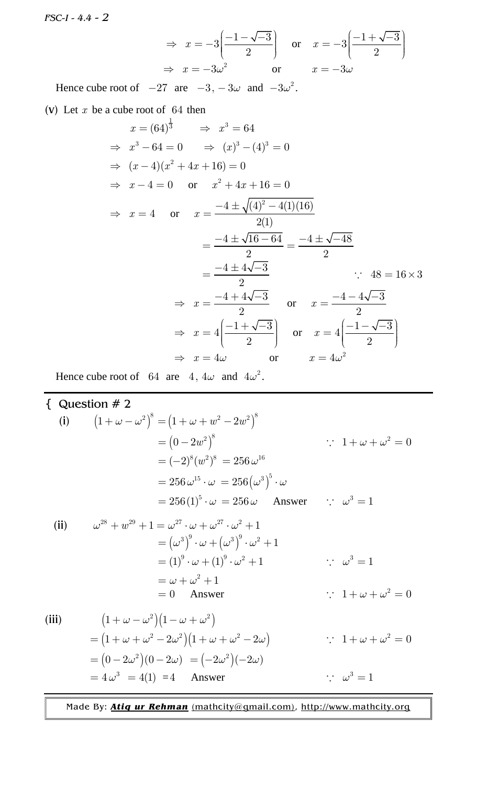*FSC-I - 4.4 - 2*

$$
\Rightarrow x = -3\left(\frac{-1 - \sqrt{-3}}{2}\right) \quad \text{or} \quad x = -3\left(\frac{-1 + \sqrt{-3}}{2}\right)
$$
  

$$
\Rightarrow x = -3\omega^2 \quad \text{or} \quad x = -3\omega
$$

Hence cube root of  $-27$  are  $-3$ ,  $-3\omega$  and  $-3\omega^2$ .

(v) Let *x* be a cube root of 64 then

$$
x = (64)^{\frac{1}{3}} \Rightarrow x^{3} = 64
$$
  
\n
$$
\Rightarrow x^{3} - 64 = 0 \Rightarrow (x)^{3} - (4)^{3} = 0
$$
  
\n
$$
\Rightarrow (x - 4)(x^{2} + 4x + 16) = 0
$$
  
\n
$$
\Rightarrow x - 4 = 0 \text{ or } x^{2} + 4x + 16 = 0
$$
  
\n
$$
\Rightarrow x = 4 \text{ or } x = \frac{-4 \pm \sqrt{(4)^{2} - 4(1)(16)}}{2(1)}
$$
  
\n
$$
= \frac{-4 \pm \sqrt{16 - 64}}{2} = \frac{-4 \pm \sqrt{-48}}{2}
$$
  
\n
$$
= \frac{-4 \pm 4\sqrt{-3}}{2} \text{ or } x = \frac{-4 - 4\sqrt{-3}}{2}
$$
  
\n
$$
\Rightarrow x = \frac{-4 + 4\sqrt{-3}}{2} \text{ or } x = \frac{-4 - 4\sqrt{-3}}{2}
$$
  
\n
$$
\Rightarrow x = 4\left(\frac{-1 + \sqrt{-3}}{2}\right) \text{ or } x = 4\left(\frac{-1 - \sqrt{-3}}{2}\right)
$$
  
\n
$$
\Rightarrow x = 4\omega \text{ or } x = 4\omega^{2}
$$

Hence cube root of 64 are 4,  $4\omega$  and  $4\omega^2$ .

{ Question # 2  
\n(i) 
$$
(1 + \omega - \omega^2)^8 = (1 + \omega + w^2 - 2w^2)^8
$$
  
\n $= (0 - 2w^2)^8$   $\therefore 1 + \omega + \omega^2 = 0$   
\n $= (-2)^8 (w^2)^8 = 256 \omega^{16}$   
\n $= 256 \omega^{15} \cdot \omega = 256 (\omega^3)^5 \cdot \omega$   
\n $= 256 (1)^5 \cdot \omega = 256 \omega$  Answer  $\therefore \omega^3 = 1$   
\n(ii)  $\omega^{28} + w^{29} + 1 = \omega^{27} \cdot \omega + \omega^{27} \cdot \omega^2 + 1$   
\n $= (\omega^3)^9 \cdot \omega + (\omega^3)^9 \cdot \omega^2 + 1$   
\n $= (1)^9 \cdot \omega + (1)^9 \cdot \omega^2 + 1$   $\therefore \omega^3 = 1$   
\n $= \omega + \omega^2 + 1$   
\n $= 0$  Answer  $\therefore 1 + \omega + \omega^2 = 0$ 

(iii) 
$$
(1 + \omega - \omega^2)(1 - \omega + \omega^2)
$$
  
=  $(1 + \omega + \omega^2 - 2\omega^2)(1 + \omega + \omega^2 - 2\omega)$   $\therefore$   $1 + \omega + \omega^2 = 0$   
=  $(0 - 2\omega^2)(0 - 2\omega) = (-2\omega^2)(-2\omega)$   
=  $4\omega^3 = 4(1) = 4$  Answer  $\therefore \omega^3 = 1$ 

 $= 0$  Answer

Made By: *Atiq ur Rehman* [\(mathcity@gmail.com\)](mailto:(mathcity@gmail.com)), <http://www.mathcity.org>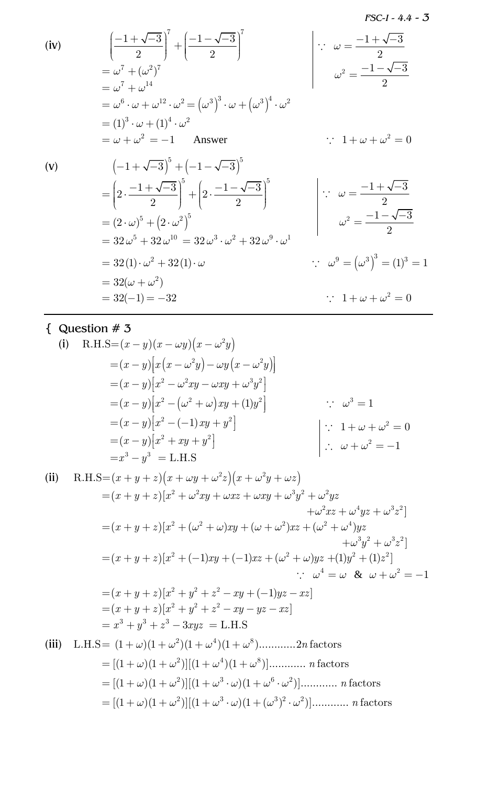$FSC-I - 4.4 - 3$ 

(iv)

\n
$$
\left(\frac{-1+\sqrt{-3}}{2}\right)^7 + \left(\frac{-1-\sqrt{-3}}{2}\right)^7
$$
\n
$$
= \omega^7 + (\omega^2)^7
$$
\n
$$
= \omega^7 + \omega^{14}
$$
\n
$$
= \omega^6 \cdot \omega + \omega^{12} \cdot \omega^2 = (\omega^3)^3 \cdot \omega + (\omega^3)^4 \cdot \omega^2
$$
\n
$$
= (1)^3 \cdot \omega + (1)^4 \cdot \omega^2
$$
\n
$$
= \omega + \omega^2 = -1 \quad \text{Answer}
$$
\n(v)

\n
$$
\left(-1 + \sqrt{-3}\right)^5 + \left(-1 - \sqrt{-3}\right)^5
$$
\n
$$
= \left(2 \cdot \frac{-1+\sqrt{-3}}{2}\right)^5 + \left(2 \cdot \frac{-1-\sqrt{-3}}{2}\right)^5
$$
\n
$$
= (2 \cdot \omega)^5 + (2 \cdot \omega^2)^5
$$
\n
$$
= 32\omega^5 + 32\omega^{10} = 32\omega^3 \cdot \omega^2 + 32\omega^9 \cdot \omega^1
$$
\n
$$
= 32(1) \cdot \omega^2 + 32(1) \cdot \omega
$$
\n
$$
= 32(-1) = -32 \qquad \text{if } \omega^2 = \frac{-1+\sqrt{-3}}{2}
$$
\n
$$
\therefore \omega^9 = (\omega^3)^3 = (1)^3 = 1
$$
\n
$$
\therefore 1 + \omega + \omega^2 = 0
$$

{ Question  $# 3$ 

(i) R.H.S=(x - y)(x - \omega y)(x - \omega^2 y)  
\n= (x - y)[x(x - \omega^2 y) - \omega y(x - \omega^2 y)]  
\n= (x - y)[x^2 - \omega^2 xy - \omega xy + \omega^3 y^2]  
\n= (x - y)[x^2 - (\omega^2 + \omega)xy + (1)y^2] 
$$
\therefore \omega^3 = 1
$$
  
\n= (x - y)[x^2 - (-1)xy + y^2]  $\therefore 1 + \omega + \omega^2 = 0$   
\n= (x - y)[x^2 + xy + y^2]  $\therefore \omega + \omega^2 = -1$   
\n= x<sup>3</sup> - y<sup>3</sup> = L.H.S  
\n(ii) R.H.S=(x + y + z)(x + \omega y + \omega^2 z)(x + \omega^2 y + \omega z)  
\n= (x + y + z)[x<sup>2</sup> + \omega^2 xy + \omega xz + \omega xy + \omega^3 y^2 + \omega^2 yz + \omega^3 y^2 + \omega^3 z^2]  
\n= (x + y + z)[x<sup>2</sup> + (\omega^2 + \omega)xy + (\omega + \omega^2)xz + (\omega^2 + \omega^4)yz + \omega^3 y^2 + \omega^3 z^2]  
\n= (x + y + z)[x<sup>2</sup> + (-1)xy + (-1)xz + (\omega^2 + \omega)yz + (1)y<sup>2</sup> + (1)z<sup>2</sup>]  
\n= (x + y + z)[x<sup>2</sup> + y<sup>2</sup> + z<sup>2</sup> - xy + (-1)yz - xz]  
\n= (x + y + z)[x<sup>2</sup> + y<sup>2</sup> + z<sup>2</sup> - xy + (-1)yz - xz]  
\n= (x + y + z)[x<sup>2</sup> + y<sup>2</sup> + z<sup>2</sup> - xy + (-1)yz - xz]  
\n= (x + y + z)[x<sup>2</sup> + y<sup>2</sup> + z<sup>2</sup> - xy - yz - xz]  
\n= x<sup>3</sup> + y<sup>3</sup> + z<sup>3</sup> - 3xyz = L.H.S  
\n(iii) L.H.S = (1 + \omega)(1 + \omega^2)(1 + \omega^4)(1 + \omega^8)............2n factors  
\n= [(1 + \omega)(1 + \omega^2)][(1 + \omega^3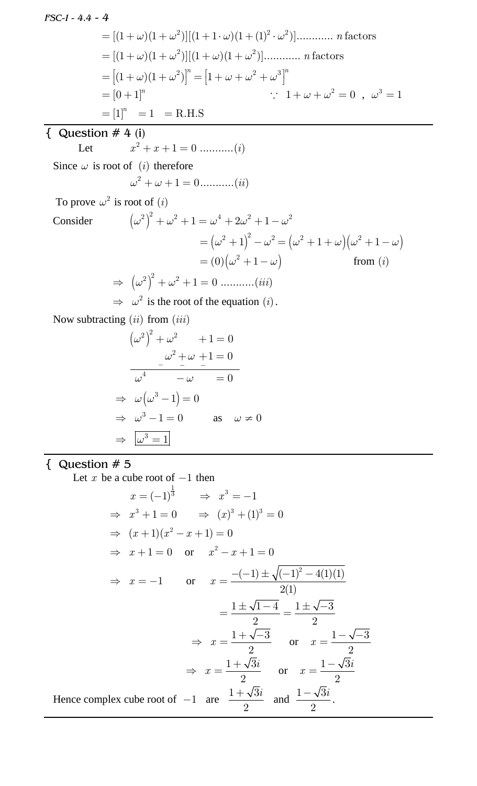*FSC-I - 4.4 - 4*  $= [(1 + \omega)(1 + \omega^2)][(1 + 1 \cdot \omega)(1 + (1)^2 \cdot \omega^2)]$ ............. *n* factors  $= [(1 + \omega)(1 + \omega^2)][(1 + \omega)(1 + \omega^2)]$ ............ *n* factors  $= [(1 + \omega)(1 + \omega^2)]^n = [1 + \omega + \omega^2 + \omega^3]^n$  $= [0 + 1]^n$  $\therefore$  1 +  $\omega + \omega^2 = 0$ ,  $\omega^3 = 1$  $=[1]^{n} = 1 = R.H.S$  $\overline{)$  Question # 4 (i) Let 2 *x x i* 1 0 ...........( ) Since  $\omega$  is root of (*i*) therefore  $\omega^2 + \omega + 1 = 0$ ...........*(ii)* To prove  $\omega^2$  is root of (*i*) Consider  $(\omega^2)^2 + \omega^2 + 1 = \omega^4 + 2\omega^2 + 1 - \omega^2$  $= (\omega^2 + 1)^2 - \omega^2 = (\omega^2 + 1 + \omega)(\omega^2 + 1 - \omega)$  $= (0) \left(\omega^2 + 1 - \omega\right)$  from (*i*)  $\Rightarrow$   $(\omega^2)^2 + \omega^2 + 1 = 0$  ...........*(iii)*  $\Rightarrow \omega^2$  is the root of the equation (*i*). Now subtracting (*ii*) from (*iii*)  $(\omega^2)^2 + \omega^2 + 1 = 0$ 2 4  $1 = 0$ 0  $\omega^2 + \omega$  $\omega^4$   $-\omega$  $\frac{\partial f}{\partial x^2} = \frac{\partial f}{\partial y^2} + \frac{\partial f}{\partial z^2} + \frac{\partial f}{\partial x^2} + \frac{\partial f}{\partial y^2} + \frac{\partial f}{\partial y^2} + \frac{\partial f}{\partial z^2} + \frac{\partial f}{\partial z^2} + \frac{\partial f}{\partial z^2} + \frac{\partial f}{\partial z^2} + \frac{\partial f}{\partial z^2} + \frac{\partial f}{\partial z^2} + \frac{\partial f}{\partial z^2} + \frac{\partial f}{\partial z^2} + \frac{\partial f}{\partial z^2} + \frac{\partial f}{\partial z^2} + \frac{\partial f}{\partial z^2}$  $+\omega +1=$  $-\omega$  =

$$
\Rightarrow \omega(\omega^3 - 1) = 0
$$
  
\n
$$
\Rightarrow \omega^3 - 1 = 0 \qquad \text{as} \quad \omega \neq 0
$$
  
\n
$$
\Rightarrow \boxed{\omega^3 = 1}
$$

# { Question # 5

Let  $x$  be a cube root of  $-1$  then

$$
x = (-1)^{\frac{1}{3}} \Rightarrow x^{3} = -1
$$
  
\n
$$
\Rightarrow x^{3} + 1 = 0 \Rightarrow (x)^{3} + (1)^{3} = 0
$$
  
\n
$$
\Rightarrow (x+1)(x^{2} - x + 1) = 0
$$
  
\n
$$
\Rightarrow x + 1 = 0 \text{ or } x^{2} - x + 1 = 0
$$
  
\n
$$
\Rightarrow x = -1 \text{ or } x = \frac{-(-1) \pm \sqrt{(-1)^{2} - 4(1)(1)}}{2(1)}
$$
  
\n
$$
= \frac{1 \pm \sqrt{1-4}}{2} = \frac{1 \pm \sqrt{-3}}{2}
$$
  
\n
$$
\Rightarrow x = \frac{1 + \sqrt{3}i}{2} \text{ or } x = \frac{1 - \sqrt{-3}}{2}
$$
  
\nHence complex cube root of -1 are  $\frac{1 + \sqrt{3}i}{2}$  and  $\frac{1 - \sqrt{3}i}{2}$ .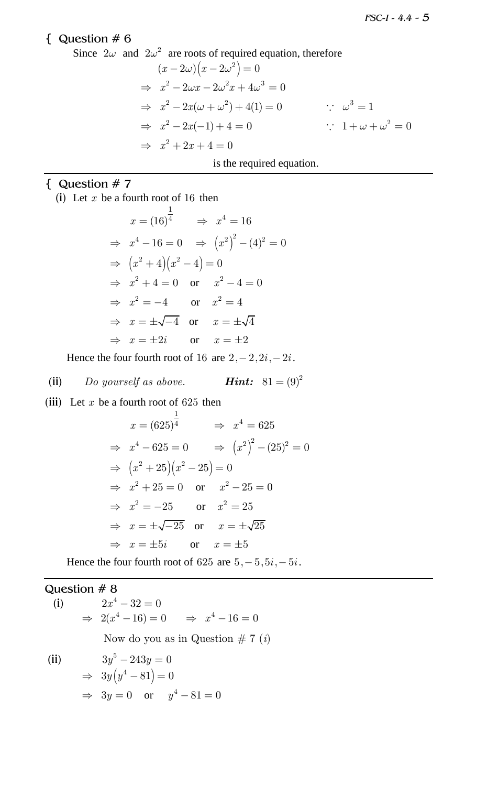### { Question # 6

Since 
$$
2\omega
$$
 and  $2\omega^2$  are roots of required equation, therefore  
\n
$$
(x - 2\omega)(x - 2\omega^2) = 0
$$
\n
$$
\Rightarrow x^2 - 2\omega x - 2\omega^2 x + 4\omega^3 = 0
$$
\n
$$
\Rightarrow x^2 - 2x(\omega + \omega^2) + 4(1) = 0 \qquad \therefore \omega^3 = 1
$$
\n
$$
\Rightarrow x^2 - 2x(-1) + 4 = 0 \qquad \therefore 1 + \omega + \omega^2 = 0
$$
\n
$$
\Rightarrow x^2 + 2x + 4 = 0
$$
\nis the required equation.

# { Question # 7

(i) Let *x* be a fourth root of 16 then

$$
x = (16)^{\frac{1}{4}} \Rightarrow x^{4} = 16
$$
  
\n
$$
\Rightarrow x^{4} - 16 = 0 \Rightarrow (x^{2})^{2} - (4)^{2} = 0
$$
  
\n
$$
\Rightarrow (x^{2} + 4)(x^{2} - 4) = 0
$$
  
\n
$$
\Rightarrow x^{2} + 4 = 0 \text{ or } x^{2} - 4 = 0
$$
  
\n
$$
\Rightarrow x^{2} = -4 \text{ or } x^{2} = 4
$$
  
\n
$$
\Rightarrow x = \pm \sqrt{-4} \text{ or } x = \pm \sqrt{4}
$$
  
\n
$$
\Rightarrow x = \pm 2i \text{ or } x = \pm 2
$$

Hence the four fourth root of 16 are  $2, -2, 2i, -2i$ .

(ii) Do yourself as above. **Hint:** 
$$
81 = (9)^2
$$

(iii) Let  $x$  be a fourth root of 625 then

$$
x = (625)^{\frac{1}{4}} \Rightarrow x^{4} = 625
$$
  
\n
$$
\Rightarrow x^{4} - 625 = 0 \Rightarrow (x^{2})^{2} - (25)^{2} = 0
$$
  
\n
$$
\Rightarrow (x^{2} + 25)(x^{2} - 25) = 0
$$
  
\n
$$
\Rightarrow x^{2} + 25 = 0 \text{ or } x^{2} - 25 = 0
$$
  
\n
$$
\Rightarrow x^{2} = -25 \text{ or } x^{2} = 25
$$
  
\n
$$
\Rightarrow x = \pm \sqrt{-25} \text{ or } x = \pm \sqrt{25}
$$
  
\n
$$
\Rightarrow x = \pm 5i \text{ or } x = \pm 5
$$

Hence the four fourth root of 625 are  $5, -5, 5i, -5i$ .

## Question # 8

(i)

 $2x^4 - 32 = 0$  $\Rightarrow$  2(x<sup>4</sup> - 16) = 0  $\Rightarrow$  x<sup>4</sup> - 16 = 0 Now do you as in Question  $\# 7(i)$ 

(ii)

$$
3y5 - 243y = 0
$$
  
\n
$$
\Rightarrow 3y(y4 - 81) = 0
$$
  
\n
$$
\Rightarrow 3y = 0 \text{ or } y4 - 81 = 0
$$